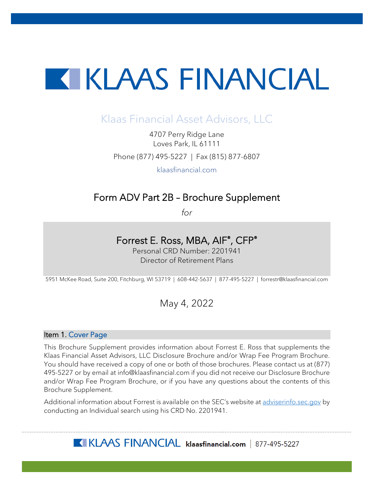# **TERESAL ENTRANCIAL**

# Klaas Financial Asset Advisors, LLC

4707 Perry Ridge Lane Loves Park, IL 61111 Phone (877) 495-5227 | Fax (815) 877-6807

klaasfinancial.com

# Form ADV Part 2B – Brochure Supplement

*for* 

# Forrest E. Ross, MBA, AIF®, CFP®

Personal CRD Number: 2201941 Director of Retirement Plans

5951 McKee Road, Suite 200, Fitchburg, WI 53719 | 608-442-5637 | 877-495-5227 | forrestr@klaasfinancial.com

# May 4, 2022

# Item 1. Cover Page

This Brochure Supplement provides information about Forrest E. Ross that supplements the Klaas Financial Asset Advisors, LLC Disclosure Brochure and/or Wrap Fee Program Brochure. You should have received a copy of one or both of those brochures. Please contact us at (877) 495-5227 or by email at info@klaasfinancial.com if you did not receive our Disclosure Brochure and/or Wrap Fee Program Brochure, or if you have any questions about the contents of this Brochure Supplement.

Additional information about Forrest is available on the SEC's website at [adviserinfo.sec.gov](https://adviserinfo.sec.gov/) by conducting an Individual search using his CRD No. 2201941.

KLAAS FINANCIAL klaasfinancial.com | 877-495-5227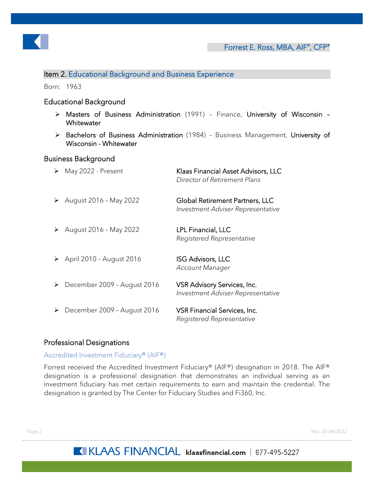

# Item 2. Educational Background and Business Experience

Born: 1963

# Educational Background

- Masters of Business Administration (1991) Finance, University of Wisconsin **Whitewater**
- > Bachelors of Business Administration (1984) Business Management, University of Wisconsin - Whitewater

## Business Background

| ➤ | May 2022 - Present                        | Klaas Financial Asset Advisors, LLC<br>Director of Retirement Plans  |
|---|-------------------------------------------|----------------------------------------------------------------------|
| ➤ | August 2016 - May 2022                    | Global Retirement Partners, LLC<br>Investment Adviser Representative |
| ➤ | August 2016 - May 2022                    | LPL Financial, LLC<br>Registered Representative                      |
|   | $\triangleright$ April 2010 - August 2016 | <b>ISG Advisors, LLC</b><br>Account Manager                          |
| ➤ | December 2009 - August 2016               | VSR Advisory Services, Inc.<br>Investment Adviser Representative     |
| ➤ | December 2009 - August 2016               | VSR Financial Services, Inc.<br>Registered Representative            |

# Professional Designations

#### Accredited Investment Fiduciary® (AIF®)

Forrest received the Accredited Investment Fiduciary® (AIF®) designation in 2018. The AIF® designation is a professional designation that demonstrates an individual serving as an investment fiduciary has met certain requirements to earn and maintain the credential. The designation is granted by The Center for Fiduciary Studies and Fi360, Inc.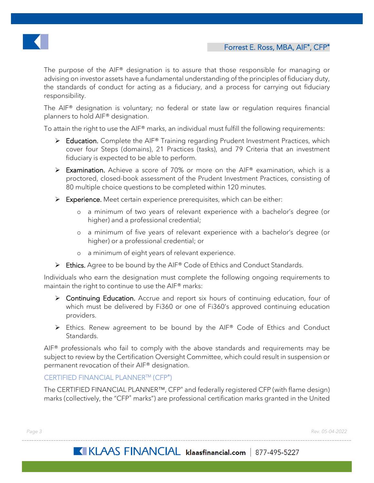

The purpose of the AIF® designation is to assure that those responsible for managing or advising on investor assets have a fundamental understanding of the principles of fiduciary duty, the standards of conduct for acting as a fiduciary, and a process for carrying out fiduciary responsibility.

The AIF® designation is voluntary; no federal or state law or regulation requires financial planners to hold AIF® designation.

To attain the right to use the AIF® marks, an individual must fulfill the following requirements:

- Education. Complete the AIF® Training regarding Prudent Investment Practices, which cover four Steps (domains), 21 Practices (tasks), and 79 Criteria that an investment fiduciary is expected to be able to perform.
- Examination. Achieve a score of 70% or more on the AIF® examination, which is a proctored, closed-book assessment of the Prudent Investment Practices, consisting of 80 multiple choice questions to be completed within 120 minutes.
- $\triangleright$  Experience. Meet certain experience prerequisites, which can be either:
	- o a minimum of two years of relevant experience with a bachelor's degree (or higher) and a professional credential;
	- o a minimum of five years of relevant experience with a bachelor's degree (or higher) or a professional credential; or
	- o a minimum of eight years of relevant experience.
- Ethics. Agree to be bound by the AIF® Code of Ethics and Conduct Standards.

Individuals who earn the designation must complete the following ongoing requirements to maintain the right to continue to use the AIF® marks:

- ▶ Continuing Education. Accrue and report six hours of continuing education, four of which must be delivered by Fi360 or one of Fi360's approved continuing education providers.
- ▶ Ethics. Renew agreement to be bound by the AIF® Code of Ethics and Conduct Standards.

 $AIF<sup>®</sup>$  professionals who fail to comply with the above standards and requirements may be subject to review by the Certification Oversight Committee, which could result in suspension or permanent revocation of their AIF® designation.

# CERTIFIED FINANCIAL PLANNER™ (CFP<sup>®</sup>)

The CERTIFIED FINANCIAL PLANNER<sup>™</sup>, CFP<sup>®</sup> and federally registered CFP (with flame design) marks (collectively, the "CFP<sup>®</sup> marks") are professional certification marks granted in the United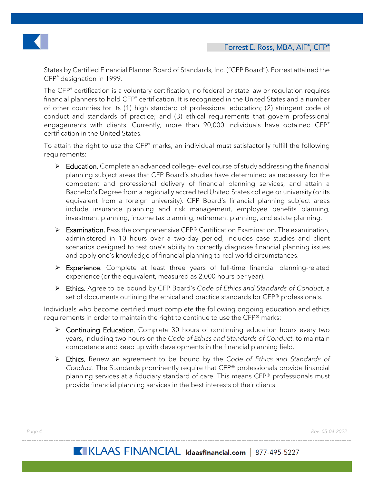

States by Certified Financial Planner Board of Standards, Inc. ("CFP Board"). Forrest attained the CFP® designation in 1999.

The CFP<sup>®</sup> certification is a voluntary certification; no federal or state law or regulation requires financial planners to hold CFP<sup>®</sup> certification. It is recognized in the United States and a number of other countries for its (1) high standard of professional education; (2) stringent code of conduct and standards of practice; and (3) ethical requirements that govern professional engagements with clients. Currently, more than 90,000 individuals have obtained CFP® certification in the United States.

To attain the right to use the CFP® marks, an individual must satisfactorily fulfill the following requirements:

- $\triangleright$  Education. Complete an advanced college-level course of study addressing the financial planning subject areas that CFP Board's studies have determined as necessary for the competent and professional delivery of financial planning services, and attain a Bachelor's Degree from a regionally accredited United States college or university (or its equivalent from a foreign university). CFP Board's financial planning subject areas include insurance planning and risk management, employee benefits planning, investment planning, income tax planning, retirement planning, and estate planning.
- Examination. Pass the comprehensive CFP® Certification Examination. The examination, administered in 10 hours over a two-day period, includes case studies and client scenarios designed to test one's ability to correctly diagnose financial planning issues and apply one's knowledge of financial planning to real world circumstances.
- Experience. Complete at least three years of full-time financial planning-related experience (or the equivalent, measured as 2,000 hours per year).
- Ethics. Agree to be bound by CFP Board's *Code of Ethics and Standards of Conduct*, a set of documents outlining the ethical and practice standards for CFP® professionals.

Individuals who become certified must complete the following ongoing education and ethics requirements in order to maintain the right to continue to use the CFP® marks:

- ▶ Continuing Education. Complete 30 hours of continuing education hours every two years, including two hours on the *Code of Ethics and Standards of Conduct*, to maintain competence and keep up with developments in the financial planning field.
- Ethics. Renew an agreement to be bound by the *Code of Ethics and Standards of Conduct*. The Standards prominently require that CFP® professionals provide financial planning services at a fiduciary standard of care. This means CFP® professionals must provide financial planning services in the best interests of their clients.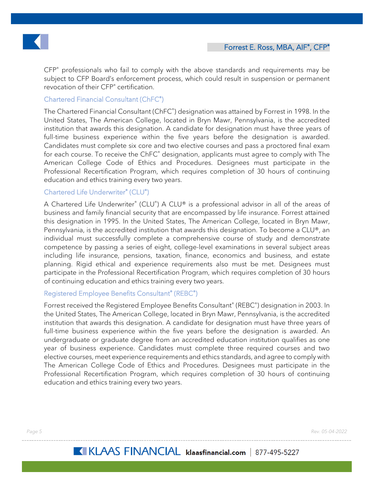

CFP® professionals who fail to comply with the above standards and requirements may be subject to CFP Board's enforcement process, which could result in suspension or permanent revocation of their CFP® certification.

# Chartered Financial Consultant (ChFC® )

The Chartered Financial Consultant (ChFC® ) designation was attained by Forrest in 1998. In the United States, The American College, located in Bryn Mawr, Pennsylvania, is the accredited institution that awards this designation. A candidate for designation must have three years of full-time business experience within the five years before the designation is awarded. Candidates must complete six core and two elective courses and pass a proctored final exam for each course. To receive the ChFC<sup>®</sup> designation, applicants must agree to comply with The American College Code of Ethics and Procedures. Designees must participate in the Professional Recertification Program, which requires completion of 30 hours of continuing education and ethics training every two years.

# Chartered Life Underwriter® (CLU® )

A Chartered Life Underwriter® (CLU®) A CLU® is a professional advisor in all of the areas of business and family financial security that are encompassed by life insurance. Forrest attained this designation in 1995. In the United States, The American College, located in Bryn Mawr, Pennsylvania, is the accredited institution that awards this designation. To become a CLU®, an individual must successfully complete a comprehensive course of study and demonstrate competence by passing a series of eight, college-level examinations in several subject areas including life insurance, pensions, taxation, finance, economics and business, and estate planning. Rigid ethical and experience requirements also must be met. Designees must participate in the Professional Recertification Program, which requires completion of 30 hours of continuing education and ethics training every two years.

## Registered Employee Benefits Consultant® (REBC® )

Forrest received the Registered Employee Benefits Consultant® (REBC® ) designation in 2003. In the United States, The American College, located in Bryn Mawr, Pennsylvania, is the accredited institution that awards this designation. A candidate for designation must have three years of full-time business experience within the five years before the designation is awarded. An undergraduate or graduate degree from an accredited education institution qualifies as one year of business experience. Candidates must complete three required courses and two elective courses, meet experience requirements and ethics standards, and agree to comply with The American College Code of Ethics and Procedures. Designees must participate in the Professional Recertification Program, which requires completion of 30 hours of continuing education and ethics training every two years.